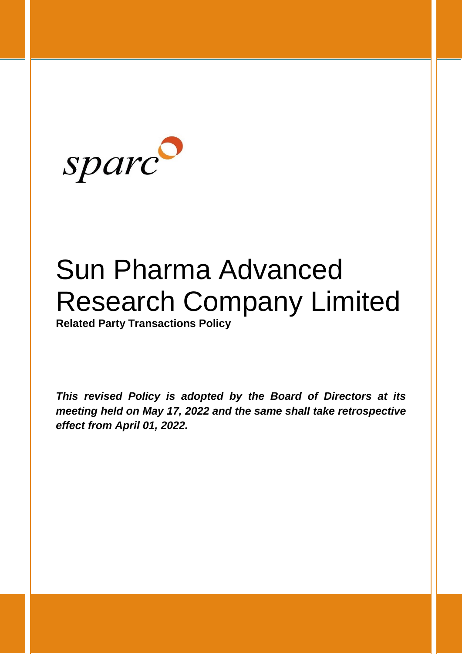

# Sun Pharma Advanced Research Company Limited

**Related Party Transactions Policy**

*This revised Policy is adopted by the Board of Directors at its meeting held on May 17, 2022 and the same shall take retrospective effect from April 01, 2022.*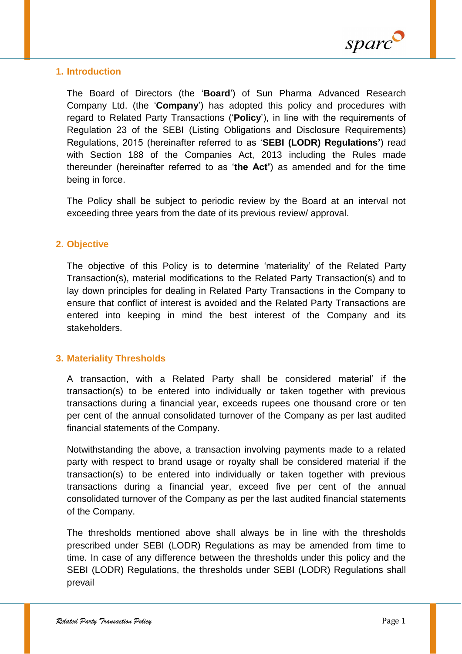

### **1. Introduction**

The Board of Directors (the '**Board**') of Sun Pharma Advanced Research Company Ltd. (the '**Company**') has adopted this policy and procedures with regard to Related Party Transactions ('**Policy**'), in line with the requirements of Regulation 23 of the SEBI (Listing Obligations and Disclosure Requirements) Regulations, 2015 (hereinafter referred to as '**SEBI (LODR) Regulations'**) read with Section 188 of the Companies Act, 2013 including the Rules made thereunder (hereinafter referred to as '**the Act'**) as amended and for the time being in force.

The Policy shall be subject to periodic review by the Board at an interval not exceeding three years from the date of its previous review/ approval.

## **2. Objective**

The objective of this Policy is to determine 'materiality' of the Related Party Transaction(s), material modifications to the Related Party Transaction(s) and to lay down principles for dealing in Related Party Transactions in the Company to ensure that conflict of interest is avoided and the Related Party Transactions are entered into keeping in mind the best interest of the Company and its stakeholders.

### **3. Materiality Thresholds**

A transaction, with a Related Party shall be considered material' if the transaction(s) to be entered into individually or taken together with previous transactions during a financial year, exceeds rupees one thousand crore or ten per cent of the annual consolidated turnover of the Company as per last audited financial statements of the Company.

Notwithstanding the above, a transaction involving payments made to a related party with respect to brand usage or royalty shall be considered material if the transaction(s) to be entered into individually or taken together with previous transactions during a financial year, exceed five per cent of the annual consolidated turnover of the Company as per the last audited financial statements of the Company.

The thresholds mentioned above shall always be in line with the thresholds prescribed under SEBI (LODR) Regulations as may be amended from time to time. In case of any difference between the thresholds under this policy and the SEBI (LODR) Regulations, the thresholds under SEBI (LODR) Regulations shall prevail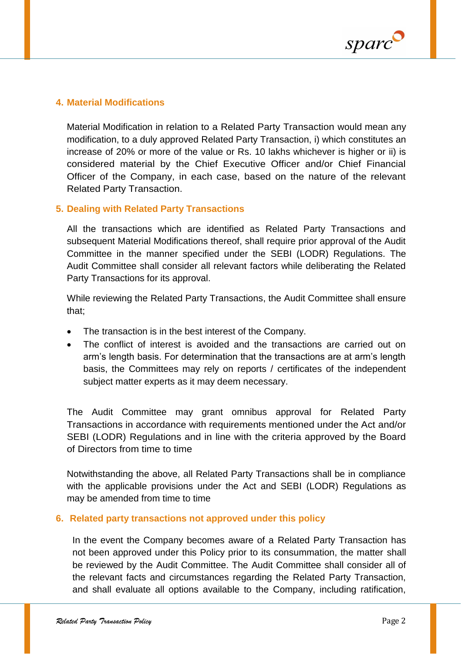

#### **4. Material Modifications**

Material Modification in relation to a Related Party Transaction would mean any modification, to a duly approved Related Party Transaction, i) which constitutes an increase of 20% or more of the value or Rs. 10 lakhs whichever is higher or ii) is considered material by the Chief Executive Officer and/or Chief Financial Officer of the Company, in each case, based on the nature of the relevant Related Party Transaction.

#### **5. Dealing with Related Party Transactions**

All the transactions which are identified as Related Party Transactions and subsequent Material Modifications thereof, shall require prior approval of the Audit Committee in the manner specified under the SEBI (LODR) Regulations. The Audit Committee shall consider all relevant factors while deliberating the Related Party Transactions for its approval.

While reviewing the Related Party Transactions, the Audit Committee shall ensure that;

- The transaction is in the best interest of the Company.
- The conflict of interest is avoided and the transactions are carried out on arm's length basis. For determination that the transactions are at arm's length basis, the Committees may rely on reports / certificates of the independent subject matter experts as it may deem necessary.

The Audit Committee may grant omnibus approval for Related Party Transactions in accordance with requirements mentioned under the Act and/or SEBI (LODR) Regulations and in line with the criteria approved by the Board of Directors from time to time

Notwithstanding the above, all Related Party Transactions shall be in compliance with the applicable provisions under the Act and SEBI (LODR) Regulations as may be amended from time to time

#### **6. Related party transactions not approved under this policy**

In the event the Company becomes aware of a Related Party Transaction has not been approved under this Policy prior to its consummation, the matter shall be reviewed by the Audit Committee. The Audit Committee shall consider all of the relevant facts and circumstances regarding the Related Party Transaction, and shall evaluate all options available to the Company, including ratification,